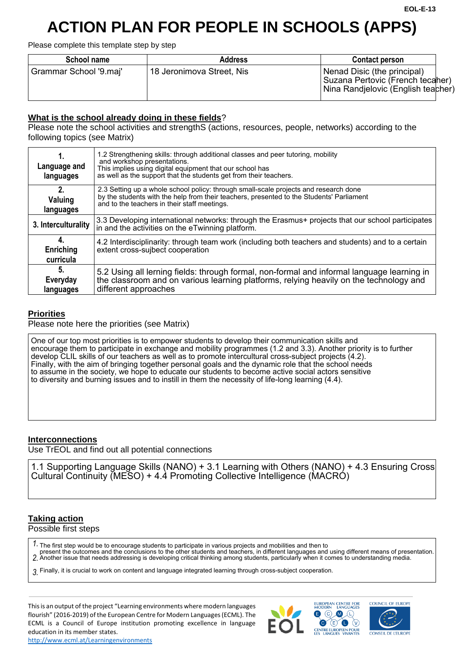# **ACTION PLAN FOR PEOPLE IN SCHOOLS (APPS)**

Please complete this template step by step

| School name            | <b>Address</b>            | <b>Contact person</b>                                                                                   |  |
|------------------------|---------------------------|---------------------------------------------------------------------------------------------------------|--|
| Grammar School '9.maj' | 18 Jeronimova Street, Nis | Nenad Disic (the principal)<br>Suzana Pertovic (French tecaher)<br>  Nina Randjelovic (English teacher) |  |

# **What is the school already doing in these fields**?

Please note the school activities and strengthS (actions, resources, people, networks) according to the following topics (see Matrix)

| Language and<br>languages    | 1.2 Strengthening skills: through additional classes and peer tutoring, mobility<br>and workshop presentations.<br>This implies using digital equipment that our school has<br>as well as the support that the students get from their teachers. |  |
|------------------------------|--------------------------------------------------------------------------------------------------------------------------------------------------------------------------------------------------------------------------------------------------|--|
| 2.<br>Valuing<br>languages   | 2.3 Setting up a whole school policy: through small-scale projects and research done<br>by the students with the help from their teachers, presented to the Students' Parliament<br>and to the teachers in their staff meetings.                 |  |
| 3. Interculturality          | 3.3 Developing international networks: through the Erasmus+ projects that our school participates<br>in and the activities on the eTwinning platform.                                                                                            |  |
| 4.<br>Enriching<br>curricula | 4.2 Interdisciplinarity: through team work (including both teachers and students) and to a certain<br>extent cross-sujbect cooperation                                                                                                           |  |
| 5.<br>Everyday<br>languages  | 5.2 Using all lerning fields: through formal, non-formal and informal language learning in<br>the classroom and on various learning platforms, relying heavily on the technology and<br>different approaches                                     |  |

#### **Priorities**

Please note here the priorities (see Matrix)

One of our top most priorities is to empower students to develop their communication skills and encourage them to participate in exchange and mobility programmes (1.2 and 3.3). Another priority is to further develop CLIL skills of our teachers as well as to promote intercultural cross-subject projects (4.2). Finally, with the aim of bringing together personal goals and the dynamic role that the school needs to assume in the society, we hope to educate our students to become active social actors sensitive to diversity and burning issues and to instill in them the necessity of life-long learning (4.4).

## **Interconnections**

Use TrEOL and find out all potential connections

1.1 Supporting Language Skills (NANO) + 3.1 Learning with Others (NANO) + 4.3 Ensuring Cross Cultural Continuity (MESO) + 4.4 Promoting Collective Intelligence (MACRO)

# **Taking action**

Possible first steps

*1.* The first step would be to encourage students to participate in various projects and mobilities and then to

*2.* present the outcomes and the conclusions to the other students and teachers, in different languages and using different means of presentation. Another issue that needs addressing is developing critical thinking among students, particularly when it comes to understanding media.

*3.* Finally, it is crucial to work on content and language integrated learning through cross-subject cooperation.

This is an output of the project "Learning environments where modern languages flourish" (2016-2019) of the European Centre for Modern Languages (ECML). The ECML is a Council of Europe institution promoting excellence in language education in its member states.









**COUNCIL OF FUROPL**